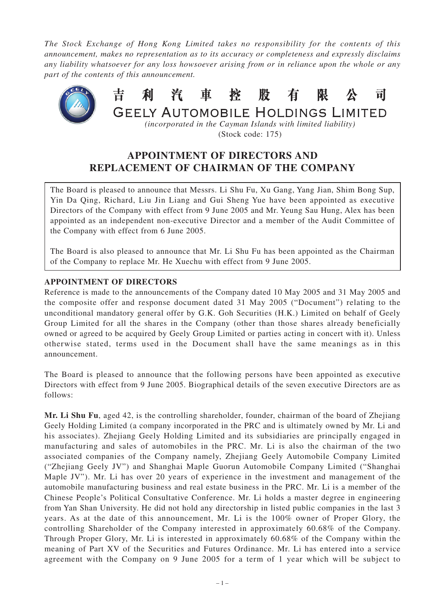*The Stock Exchange of Hong Kong Limited takes no responsibility for the contents of this announcement, makes no representation as to its accuracy or completeness and expressly disclaims any liability whatsoever for any loss howsoever arising from or in reliance upon the whole or any part of the contents of this announcement.*



*(incorporated in the Cayman Islands with limited liability)* (Stock code: 175)

## **APPOINTMENT OF DIRECTORS AND REPLACEMENT OF CHAIRMAN OF THE COMPANY**

The Board is pleased to announce that Messrs. Li Shu Fu, Xu Gang, Yang Jian, Shim Bong Sup, Yin Da Qing, Richard, Liu Jin Liang and Gui Sheng Yue have been appointed as executive Directors of the Company with effect from 9 June 2005 and Mr. Yeung Sau Hung, Alex has been appointed as an independent non-executive Director and a member of the Audit Committee of the Company with effect from 6 June 2005.

The Board is also pleased to announce that Mr. Li Shu Fu has been appointed as the Chairman of the Company to replace Mr. He Xuechu with effect from 9 June 2005.

## **APPOINTMENT OF DIRECTORS**

Reference is made to the announcements of the Company dated 10 May 2005 and 31 May 2005 and the composite offer and response document dated 31 May 2005 ("Document") relating to the unconditional mandatory general offer by G.K. Goh Securities (H.K.) Limited on behalf of Geely Group Limited for all the shares in the Company (other than those shares already beneficially owned or agreed to be acquired by Geely Group Limited or parties acting in concert with it). Unless otherwise stated, terms used in the Document shall have the same meanings as in this announcement.

The Board is pleased to announce that the following persons have been appointed as executive Directors with effect from 9 June 2005. Biographical details of the seven executive Directors are as follows:

**Mr. Li Shu Fu**, aged 42, is the controlling shareholder, founder, chairman of the board of Zhejiang Geely Holding Limited (a company incorporated in the PRC and is ultimately owned by Mr. Li and his associates). Zhejiang Geely Holding Limited and its subsidiaries are principally engaged in manufacturing and sales of automobiles in the PRC. Mr. Li is also the chairman of the two associated companies of the Company namely, Zhejiang Geely Automobile Company Limited ("Zhejiang Geely JV") and Shanghai Maple Guorun Automobile Company Limited ("Shanghai Maple JV"). Mr. Li has over 20 years of experience in the investment and management of the automobile manufacturing business and real estate business in the PRC. Mr. Li is a member of the Chinese People's Political Consultative Conference. Mr. Li holds a master degree in engineering from Yan Shan University. He did not hold any directorship in listed public companies in the last 3 years. As at the date of this announcement, Mr. Li is the 100% owner of Proper Glory, the controlling Shareholder of the Company interested in approximately 60.68% of the Company. Through Proper Glory, Mr. Li is interested in approximately 60.68% of the Company within the meaning of Part XV of the Securities and Futures Ordinance. Mr. Li has entered into a service agreement with the Company on 9 June 2005 for a term of 1 year which will be subject to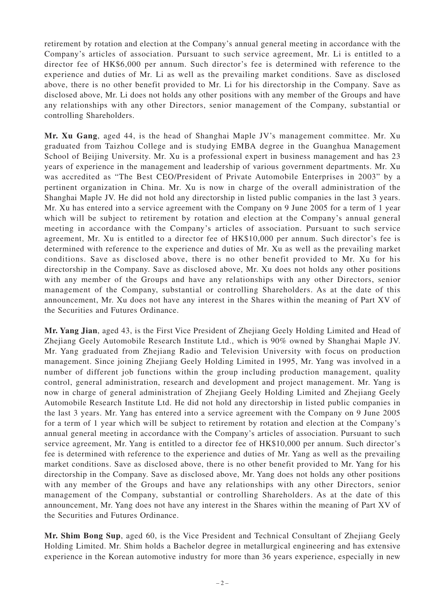retirement by rotation and election at the Company's annual general meeting in accordance with the Company's articles of association. Pursuant to such service agreement, Mr. Li is entitled to a director fee of HK\$6,000 per annum. Such director's fee is determined with reference to the experience and duties of Mr. Li as well as the prevailing market conditions. Save as disclosed above, there is no other benefit provided to Mr. Li for his directorship in the Company. Save as disclosed above, Mr. Li does not holds any other positions with any member of the Groups and have any relationships with any other Directors, senior management of the Company, substantial or controlling Shareholders.

**Mr. Xu Gang**, aged 44, is the head of Shanghai Maple JV's management committee. Mr. Xu graduated from Taizhou College and is studying EMBA degree in the Guanghua Management School of Beijing University. Mr. Xu is a professional expert in business management and has 23 years of experience in the management and leadership of various government departments. Mr. Xu was accredited as "The Best CEO/President of Private Automobile Enterprises in 2003" by a pertinent organization in China. Mr. Xu is now in charge of the overall administration of the Shanghai Maple JV. He did not hold any directorship in listed public companies in the last 3 years. Mr. Xu has entered into a service agreement with the Company on 9 June 2005 for a term of 1 year which will be subject to retirement by rotation and election at the Company's annual general meeting in accordance with the Company's articles of association. Pursuant to such service agreement, Mr. Xu is entitled to a director fee of HK\$10,000 per annum. Such director's fee is determined with reference to the experience and duties of Mr. Xu as well as the prevailing market conditions. Save as disclosed above, there is no other benefit provided to Mr. Xu for his directorship in the Company. Save as disclosed above, Mr. Xu does not holds any other positions with any member of the Groups and have any relationships with any other Directors, senior management of the Company, substantial or controlling Shareholders. As at the date of this announcement, Mr. Xu does not have any interest in the Shares within the meaning of Part XV of the Securities and Futures Ordinance.

**Mr. Yang Jian**, aged 43, is the First Vice President of Zhejiang Geely Holding Limited and Head of Zhejiang Geely Automobile Research Institute Ltd., which is 90% owned by Shanghai Maple JV. Mr. Yang graduated from Zhejiang Radio and Television University with focus on production management. Since joining Zhejiang Geely Holding Limited in 1995, Mr. Yang was involved in a number of different job functions within the group including production management, quality control, general administration, research and development and project management. Mr. Yang is now in charge of general administration of Zhejiang Geely Holding Limited and Zhejiang Geely Automobile Research Institute Ltd. He did not hold any directorship in listed public companies in the last 3 years. Mr. Yang has entered into a service agreement with the Company on 9 June 2005 for a term of 1 year which will be subject to retirement by rotation and election at the Company's annual general meeting in accordance with the Company's articles of association. Pursuant to such service agreement, Mr. Yang is entitled to a director fee of HK\$10,000 per annum. Such director's fee is determined with reference to the experience and duties of Mr. Yang as well as the prevailing market conditions. Save as disclosed above, there is no other benefit provided to Mr. Yang for his directorship in the Company. Save as disclosed above, Mr. Yang does not holds any other positions with any member of the Groups and have any relationships with any other Directors, senior management of the Company, substantial or controlling Shareholders. As at the date of this announcement, Mr. Yang does not have any interest in the Shares within the meaning of Part XV of the Securities and Futures Ordinance.

**Mr. Shim Bong Sup**, aged 60, is the Vice President and Technical Consultant of Zhejiang Geely Holding Limited. Mr. Shim holds a Bachelor degree in metallurgical engineering and has extensive experience in the Korean automotive industry for more than 36 years experience, especially in new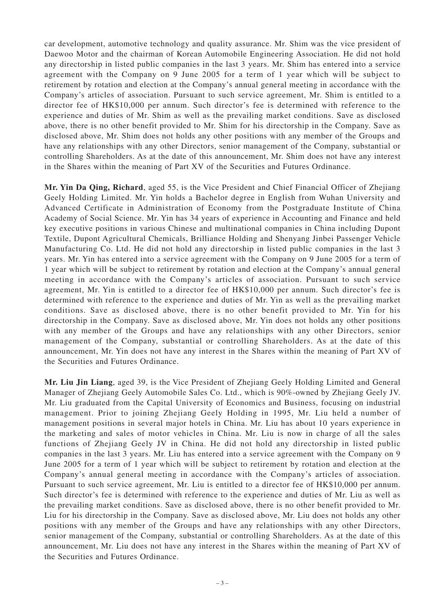car development, automotive technology and quality assurance. Mr. Shim was the vice president of Daewoo Motor and the chairman of Korean Automobile Engineering Association. He did not hold any directorship in listed public companies in the last 3 years. Mr. Shim has entered into a service agreement with the Company on 9 June 2005 for a term of 1 year which will be subject to retirement by rotation and election at the Company's annual general meeting in accordance with the Company's articles of association. Pursuant to such service agreement, Mr. Shim is entitled to a director fee of HK\$10,000 per annum. Such director's fee is determined with reference to the experience and duties of Mr. Shim as well as the prevailing market conditions. Save as disclosed above, there is no other benefit provided to Mr. Shim for his directorship in the Company. Save as disclosed above, Mr. Shim does not holds any other positions with any member of the Groups and have any relationships with any other Directors, senior management of the Company, substantial or controlling Shareholders. As at the date of this announcement, Mr. Shim does not have any interest in the Shares within the meaning of Part XV of the Securities and Futures Ordinance.

**Mr. Yin Da Qing, Richard**, aged 55, is the Vice President and Chief Financial Officer of Zhejiang Geely Holding Limited. Mr. Yin holds a Bachelor degree in English from Wuhan University and Advanced Certificate in Administration of Economy from the Postgraduate Institute of China Academy of Social Science. Mr. Yin has 34 years of experience in Accounting and Finance and held key executive positions in various Chinese and multinational companies in China including Dupont Textile, Dupont Agricultural Chemicals, Brilliance Holding and Shenyang Jinbei Passenger Vehicle Manufacturing Co. Ltd. He did not hold any directorship in listed public companies in the last 3 years. Mr. Yin has entered into a service agreement with the Company on 9 June 2005 for a term of 1 year which will be subject to retirement by rotation and election at the Company's annual general meeting in accordance with the Company's articles of association. Pursuant to such service agreement, Mr. Yin is entitled to a director fee of HK\$10,000 per annum. Such director's fee is determined with reference to the experience and duties of Mr. Yin as well as the prevailing market conditions. Save as disclosed above, there is no other benefit provided to Mr. Yin for his directorship in the Company. Save as disclosed above, Mr. Yin does not holds any other positions with any member of the Groups and have any relationships with any other Directors, senior management of the Company, substantial or controlling Shareholders. As at the date of this announcement, Mr. Yin does not have any interest in the Shares within the meaning of Part XV of the Securities and Futures Ordinance.

**Mr. Liu Jin Liang**, aged 39, is the Vice President of Zhejiang Geely Holding Limited and General Manager of Zhejiang Geely Automobile Sales Co. Ltd., which is 90%-owned by Zhejiang Geely JV. Mr. Liu graduated from the Capital University of Economics and Business, focusing on industrial management. Prior to joining Zhejiang Geely Holding in 1995, Mr. Liu held a number of management positions in several major hotels in China. Mr. Liu has about 10 years experience in the marketing and sales of motor vehicles in China. Mr. Liu is now in charge of all the sales functions of Zhejiang Geely JV in China. He did not hold any directorship in listed public companies in the last 3 years. Mr. Liu has entered into a service agreement with the Company on 9 June 2005 for a term of 1 year which will be subject to retirement by rotation and election at the Company's annual general meeting in accordance with the Company's articles of association. Pursuant to such service agreement, Mr. Liu is entitled to a director fee of HK\$10,000 per annum. Such director's fee is determined with reference to the experience and duties of Mr. Liu as well as the prevailing market conditions. Save as disclosed above, there is no other benefit provided to Mr. Liu for his directorship in the Company. Save as disclosed above, Mr. Liu does not holds any other positions with any member of the Groups and have any relationships with any other Directors, senior management of the Company, substantial or controlling Shareholders. As at the date of this announcement, Mr. Liu does not have any interest in the Shares within the meaning of Part XV of the Securities and Futures Ordinance.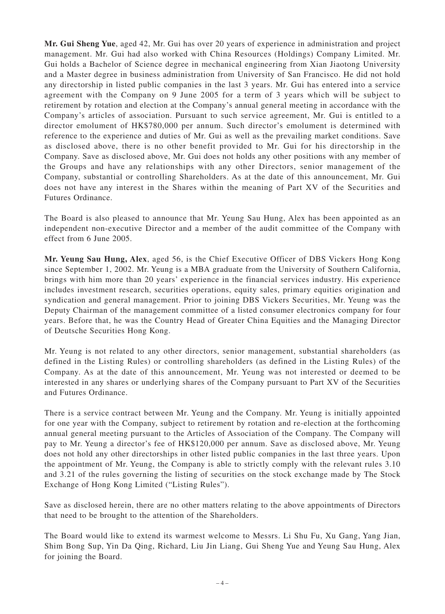**Mr. Gui Sheng Yue**, aged 42, Mr. Gui has over 20 years of experience in administration and project management. Mr. Gui had also worked with China Resources (Holdings) Company Limited. Mr. Gui holds a Bachelor of Science degree in mechanical engineering from Xian Jiaotong University and a Master degree in business administration from University of San Francisco. He did not hold any directorship in listed public companies in the last 3 years. Mr. Gui has entered into a service agreement with the Company on 9 June 2005 for a term of 3 years which will be subject to retirement by rotation and election at the Company's annual general meeting in accordance with the Company's articles of association. Pursuant to such service agreement, Mr. Gui is entitled to a director emolument of HK\$780,000 per annum. Such director's emolument is determined with reference to the experience and duties of Mr. Gui as well as the prevailing market conditions. Save as disclosed above, there is no other benefit provided to Mr. Gui for his directorship in the Company. Save as disclosed above, Mr. Gui does not holds any other positions with any member of the Groups and have any relationships with any other Directors, senior management of the Company, substantial or controlling Shareholders. As at the date of this announcement, Mr. Gui does not have any interest in the Shares within the meaning of Part XV of the Securities and Futures Ordinance.

The Board is also pleased to announce that Mr. Yeung Sau Hung, Alex has been appointed as an independent non-executive Director and a member of the audit committee of the Company with effect from 6 June 2005.

**Mr. Yeung Sau Hung, Alex**, aged 56, is the Chief Executive Officer of DBS Vickers Hong Kong since September 1, 2002. Mr. Yeung is a MBA graduate from the University of Southern California, brings with him more than 20 years' experience in the financial services industry. His experience includes investment research, securities operations, equity sales, primary equities origination and syndication and general management. Prior to joining DBS Vickers Securities, Mr. Yeung was the Deputy Chairman of the management committee of a listed consumer electronics company for four years. Before that, he was the Country Head of Greater China Equities and the Managing Director of Deutsche Securities Hong Kong.

Mr. Yeung is not related to any other directors, senior management, substantial shareholders (as defined in the Listing Rules) or controlling shareholders (as defined in the Listing Rules) of the Company. As at the date of this announcement, Mr. Yeung was not interested or deemed to be interested in any shares or underlying shares of the Company pursuant to Part XV of the Securities and Futures Ordinance.

There is a service contract between Mr. Yeung and the Company. Mr. Yeung is initially appointed for one year with the Company, subject to retirement by rotation and re-election at the forthcoming annual general meeting pursuant to the Articles of Association of the Company. The Company will pay to Mr. Yeung a director's fee of HK\$120,000 per annum. Save as disclosed above, Mr. Yeung does not hold any other directorships in other listed public companies in the last three years. Upon the appointment of Mr. Yeung, the Company is able to strictly comply with the relevant rules 3.10 and 3.21 of the rules governing the listing of securities on the stock exchange made by The Stock Exchange of Hong Kong Limited ("Listing Rules").

Save as disclosed herein, there are no other matters relating to the above appointments of Directors that need to be brought to the attention of the Shareholders.

The Board would like to extend its warmest welcome to Messrs. Li Shu Fu, Xu Gang, Yang Jian, Shim Bong Sup, Yin Da Qing, Richard, Liu Jin Liang, Gui Sheng Yue and Yeung Sau Hung, Alex for joining the Board.